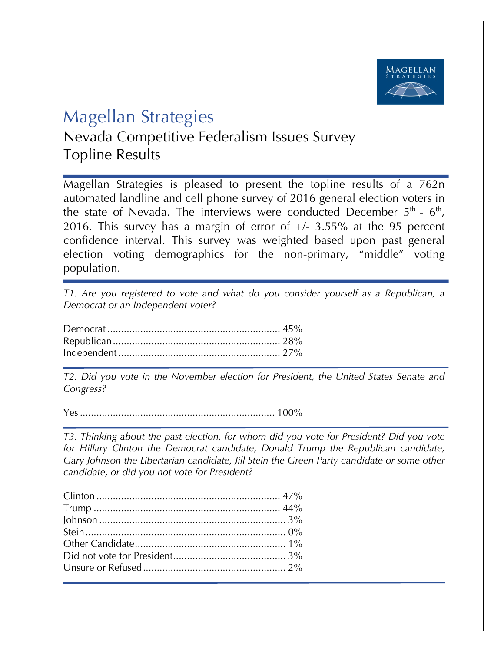

## Magellan Strategies

Nevada Competitive Federalism Issues Survey Topline Results

Magellan Strategies is pleased to present the topline results of a 762n automated landline and cell phone survey of 2016 general election voters in the state of Nevada. The interviews were conducted December  $5<sup>th</sup>$  -  $6<sup>th</sup>$ , 2016. This survey has a margin of error of +/- 3.55% at the 95 percent confidence interval. This survey was weighted based upon past general election voting demographics for the non-primary, "middle" voting population.

*T1. Are you registered to vote and what do you consider yourself as a Republican, a Democrat or an Independent voter?*

*T2. Did you vote in the November election for President, the United States Senate and Congress?* 

Yes....................................................................... 100%

*T3. Thinking about the past election, for whom did you vote for President? Did you vote for Hillary Clinton the Democrat candidate, Donald Trump the Republican candidate, Gary Johnson the Libertarian candidate, Jill Stein the Green Party candidate or some other candidate, or did you not vote for President?*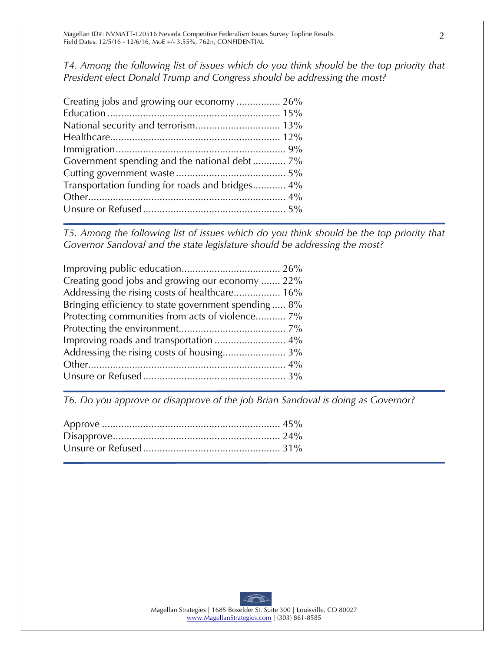*T4. Among the following list of issues which do you think should be the top priority that President elect Donald Trump and Congress should be addressing the most?*

| Creating jobs and growing our economy  26%      |  |
|-------------------------------------------------|--|
|                                                 |  |
|                                                 |  |
|                                                 |  |
|                                                 |  |
| Government spending and the national debt 7%    |  |
|                                                 |  |
| Transportation funding for roads and bridges 4% |  |
|                                                 |  |
|                                                 |  |
|                                                 |  |

*T5. Among the following list of issues which do you think should be the top priority that Governor Sandoval and the state legislature should be addressing the most?* 

| Creating good jobs and growing our economy  22%     |
|-----------------------------------------------------|
| Addressing the rising costs of healthcare 16%       |
| Bringing efficiency to state government spending 8% |
| Protecting communities from acts of violence 7%     |
|                                                     |
|                                                     |
|                                                     |
|                                                     |
|                                                     |

*T6. Do you approve or disapprove of the job Brian Sandoval is doing as Governor?*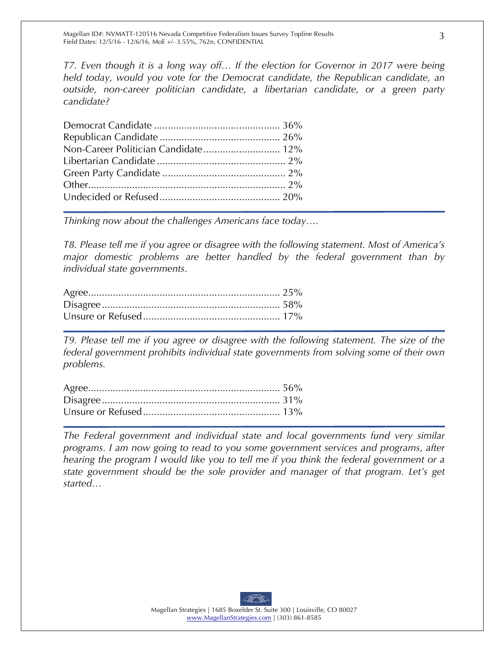*T7. Even though it is a long way off… If the election for Governor in 2017 were being held today, would you vote for the Democrat candidate, the Republican candidate, an outside, non-career politician candidate, a libertarian candidate, or a green party candidate?*

| Non-Career Politician Candidate 12% |  |
|-------------------------------------|--|
|                                     |  |
|                                     |  |
|                                     |  |
|                                     |  |

*Thinking now about the challenges Americans face today….*

*T8. Please tell me if you agree or disagree with the following statement. Most of America's major domestic problems are better handled by the federal government than by individual state governments.*

*T9. Please tell me if you agree or disagree with the following statement. The size of the federal government prohibits individual state governments from solving some of their own problems.*

*The Federal government and individual state and local governments fund very similar programs. I am now going to read to you some government services and programs, after hearing the program I would like you to tell me if you think the federal government or a state government should be the sole provider and manager of that program. Let's get started…*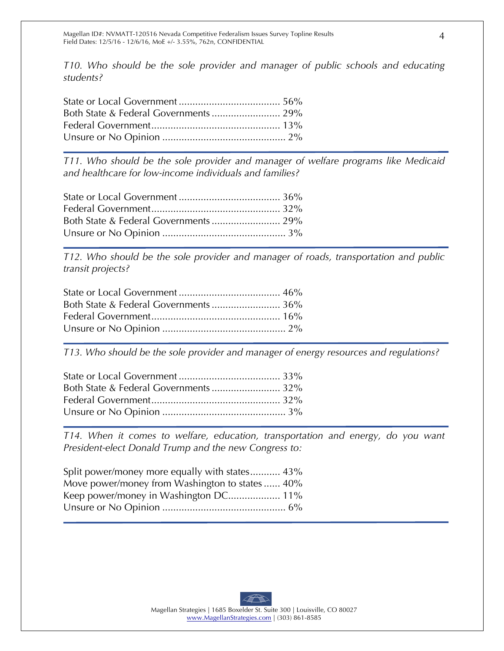*T10. Who should be the sole provider and manager of public schools and educating students?*

*T11. Who should be the sole provider and manager of welfare programs like Medicaid and healthcare for low-income individuals and families?*

*T12. Who should be the sole provider and manager of roads, transportation and public transit projects?*

*T13. Who should be the sole provider and manager of energy resources and regulations?*

*T14. When it comes to welfare, education, transportation and energy, do you want President-elect Donald Trump and the new Congress to:*

| Split power/money more equally with states 43% |  |
|------------------------------------------------|--|
| Move power/money from Washington to states 40% |  |
|                                                |  |
|                                                |  |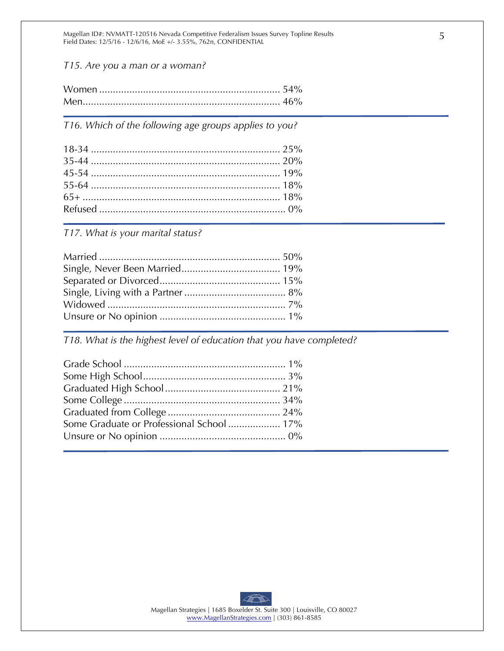Magellan ID#: NVMATT-120516 Nevada Competitive Federalism Issues Survey Topline Results Field Dates: 12/5/16 - 12/6/16, MoE +/- 3.55%, 762n, CONFIDENTIAL

*T15. Are you a man or a woman?*

*T16. Which of the following age groups applies to you?* 

*T17. What is your marital status?* 

*T18. What is the highest level of education that you have completed?*

| Some Graduate or Professional School  17% |  |
|-------------------------------------------|--|
|                                           |  |
|                                           |  |